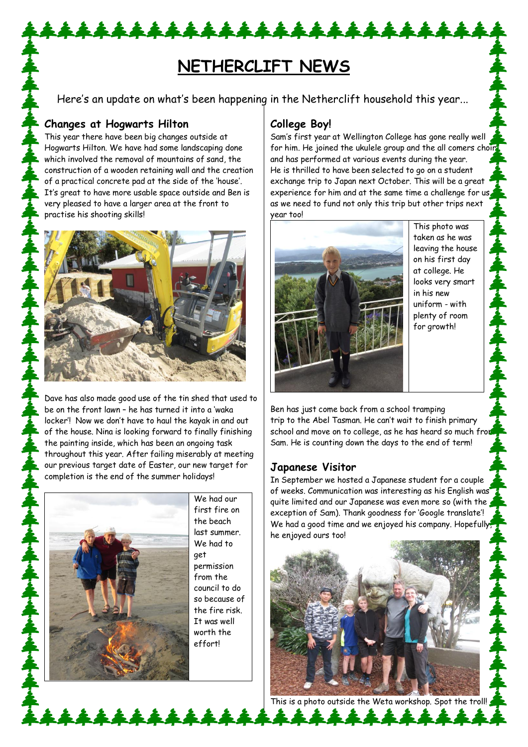# **NETHERCLIFT NEWS**

Here's an update on what's been happening in the Netherclift household this year...

## **Changes at Hogwarts Hilton**

This year there have been big changes outside at Hogwarts Hilton. We have had some landscaping done which involved the removal of mountains of sand, the construction of a wooden retaining wall and the creation of a practical concrete pad at the side of the 'house'. It's great to have more usable space outside and Ben is very pleased to have a larger area at the front to practise his shooting skills!

\*\*\*\*\*\*\*\*\*\*\*\*\*\*\*\*



Dave has also made good use of the tin shed that used to be on the front lawn – he has turned it into a 'waka locker'! Now we don't have to haul the kayak in and out of the house. Nina is looking forward to finally finishing the painting inside, which has been an ongoing task throughout this year. After failing miserably at meeting our previous target date of Easter, our new target for completion is the end of the summer holidays!



We had our first fire on the beach last summer. We had to get permission from the council to do so because of the fire risk. It was well worth the effort!

# **College Boy!**

Sam's first year at Wellington College has gone really well for him. He joined the ukulele group and the all comers choir and has performed at various events during the year. He is thrilled to have been selected to go on a student exchange trip to Japan next October. This will be a great experience for him and at the same time a challenge for us, as we need to fund not only this trip but other trips next year too!



This photo was taken as he was leaving the house on his first day at college. He looks very smart in his new uniform - with plenty of room for growth!

Ben has just come back from a school tramping trip to the Abel Tasman. He can't wait to finish primary school and move on to college, as he has heard so much from Sam. He is counting down the days to the end of term!

# **Japanese Visitor**

In September we hosted a Japanese student for a couple of weeks. Communication was interesting as his English was quite limited and our Japanese was even more so (with the exception of Sam). Thank goodness for 'Google translate'! We had a good time and we enjoyed his company. Hopefully, he enjoyed ours too!



This is a photo outside the Weta workshop. Spot the troll!